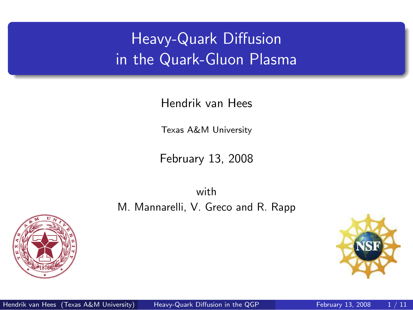# Heavy-Quark Diffusion in the Quark-Gluon Plasma

Hendrik van Hees

Texas A&M University

February 13, 2008

with M. Mannarelli, V. Greco and R. Rapp



<span id="page-0-0"></span>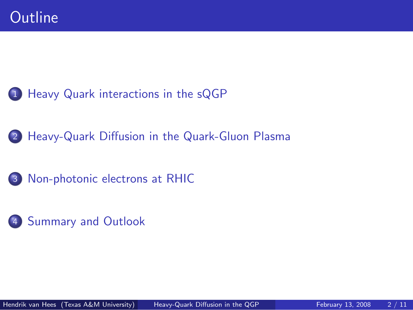

- [Heavy-Quark Diffusion in the Quark-Gluon Plasma](#page-7-0)
- [Non-photonic electrons at RHIC](#page-9-0)
- [Summary and Outlook](#page-10-0)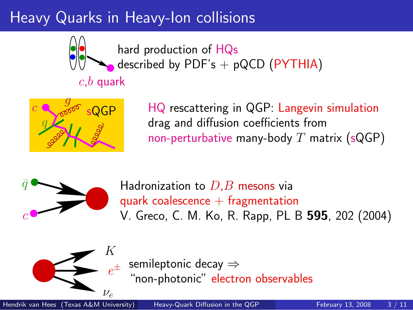# Heavy Quarks in Heavy-Ion collisions



hard production of HQs described by PDF's  $+$  pQCD (PYTHIA)

#### $c,b$  quark



HQ rescattering in QGP: Langevin simulation drag and diffusion coefficients from non-perturbative many-body  $T$  matrix (sQGP)



Hadronization to  $D.B$  mesons via quark coalescence  $+$  fragmentation V. Greco, C. M. Ko, R. Rapp, PL B 595, 202 (2004)



<span id="page-2-0"></span> $e^{\pm}$ semileptonic decay ⇒ "non-photonic" electron observables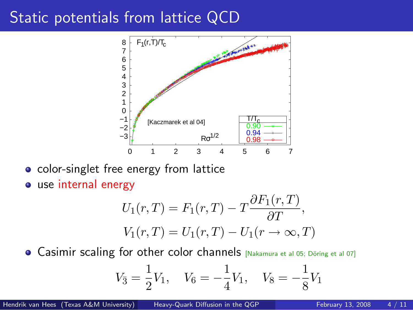#### Static potentials from lattice QCD



• color-singlet free energy from lattice

use internal energy

$$
U_1(r,T) = F_1(r,T) - T \frac{\partial F_1(r,T)}{\partial T},
$$
  

$$
V_1(r,T) = U_1(r,T) - U_1(r \to \infty, T)
$$

**.** Casimir scaling for other color channels [Nakamura et al 05; Döring et al 07]

$$
V_{\bar{3}} = \frac{1}{2}V_1, \quad V_6 = -\frac{1}{4}V_1, \quad V_8 = -\frac{1}{8}V_1
$$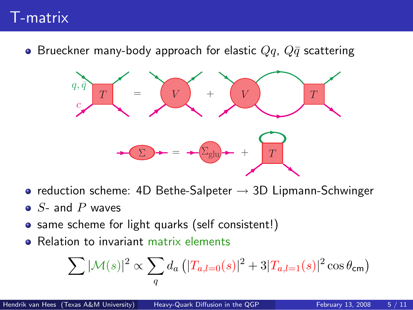## T-matrix

• Brueckner many-body approach for elastic  $Qq$ ,  $Q\bar{q}$  scattering



- reduction scheme: 4D Bethe-Salpeter  $\rightarrow$  3D Lipmann-Schwinger
- $\bullet$  S- and P waves
- same scheme for light quarks (self consistent!)
- **e** Relation to invariant matrix elements

$$
\sum |\mathcal{M}(s)|^2 \propto \sum_{q} d_a \left( |T_{a,l=0}(s)|^2 + 3|T_{a,l=1}(s)|^2 \cos \theta_{\rm cm} \right)
$$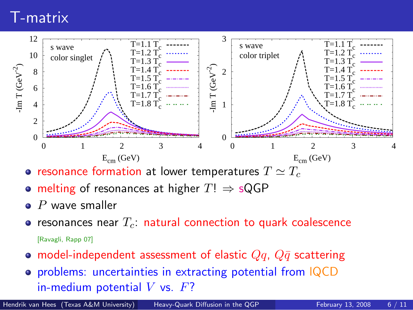## T-matrix



- resonance formation at lower temperatures  $T \simeq T_c$
- melting of resonances at higher  $T! \Rightarrow sQGP$
- $\bullet$  P wave smaller
- resonances near  $T_c$ : natural connection to quark coalescence [Ravagli, Rapp 07]
- model-independent assessment of elastic  $Qq$ ,  $Q\bar{q}$  scattering
- problems: uncertainties in extracting potential from lQCD in-medium potential  $V$  vs.  $F$ ?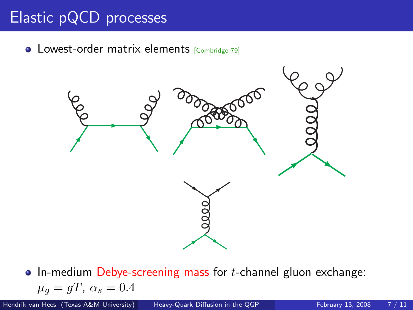# Elastic pQCD processes

• Lowest-order matrix elements [Combridge 79]



 $\bullet$  In-medium Debye-screening mass for *t*-channel gluon exchange:  $\mu_q = gT, \ \alpha_s = 0.4$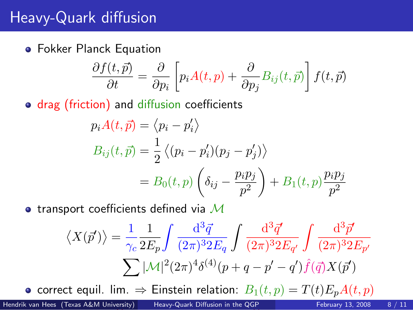## Heavy-Quark diffusion

Fokker Planck Equation

$$
\frac{\partial f(t,\vec{p})}{\partial t} = \frac{\partial}{\partial p_i} \left[ p_i A(t,p) + \frac{\partial}{\partial p_j} B_{ij}(t,\vec{p}) \right] f(t,\vec{p})
$$

• drag (friction) and diffusion coefficients

$$
p_i A(t, \vec{p}) = \langle p_i - p'_i \rangle
$$
  
\n
$$
B_{ij}(t, \vec{p}) = \frac{1}{2} \langle (p_i - p'_i)(p_j - p'_j) \rangle
$$
  
\n
$$
= B_0(t, p) \left( \delta_{ij} - \frac{p_i p_j}{p^2} \right) + B_1(t, p) \frac{p_i p_j}{p^2}
$$

• transport coefficients defined via  $\mathcal M$ 

<span id="page-7-0"></span>
$$
\langle X(\vec{p}') \rangle = \frac{1}{\gamma_c} \frac{1}{2E_p} \int \frac{d^3 \vec{q}}{(2\pi)^3 2E_q} \int \frac{d^3 \vec{q}'}{(2\pi)^3 2E_{q'}} \int \frac{d^3 \vec{p}'}{(2\pi)^3 2E_{p'}}
$$

$$
\sum |\mathcal{M}|^2 (2\pi)^4 \delta^{(4)}(p+q-p'-q') \hat{f}(\vec{q}) X(\vec{p}')
$$

• correct equil. lim.  $\Rightarrow$  Einstein relation:  $B_1(t,p) = T(t)E_pA(t,p)$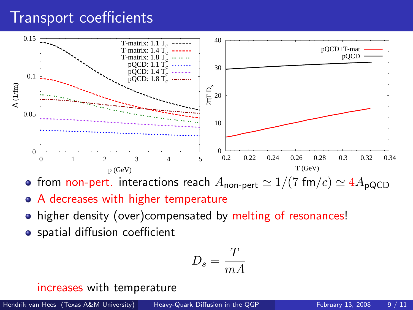## Transport coefficients



• from non-pert. interactions reach  $A_{\text{non-pert}} \simeq 1/(7 \text{ fm}/c) \simeq 4A_{\text{pQCD}}$ 

- A decreases with higher temperature
- higher density (over)compensated by melting of resonances!
- **•** spatial diffusion coefficient

$$
D_s = \frac{T}{mA}
$$

increases with temperature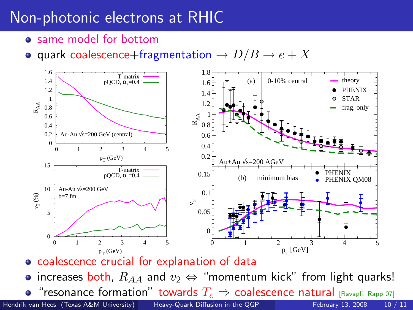## Non-photonic electrons at RHIC

- same model for bottom
- <span id="page-9-0"></span>• quark coalescence+fragmentation  $\rightarrow D/B \rightarrow e+X$